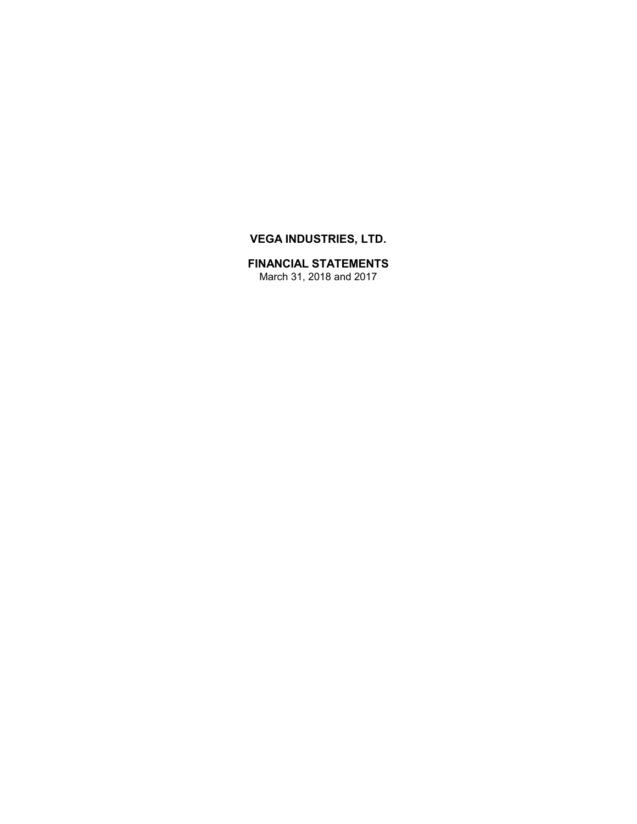# **VEGA INDUSTRIES, LTD.**

**FINANCIAL STATEMENTS** March 31, 2018 and 2017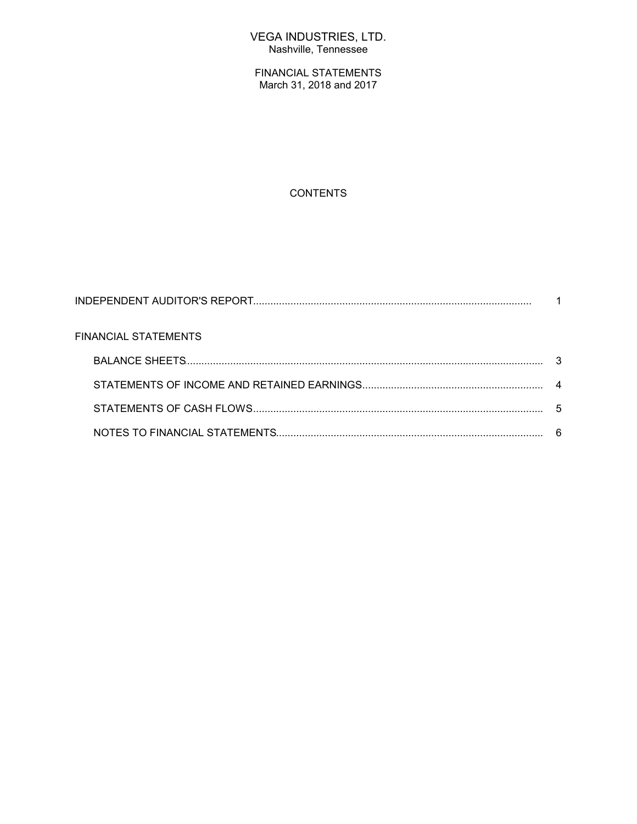# VEGA INDUSTRIES, LTD. Nashville, Tennessee

FINANCIAL STATEMENTS March 31, 2018 and 2017

## **CONTENTS**

| <b>FINANCIAL STATEMENTS</b> |  |
|-----------------------------|--|
|                             |  |
|                             |  |
|                             |  |
|                             |  |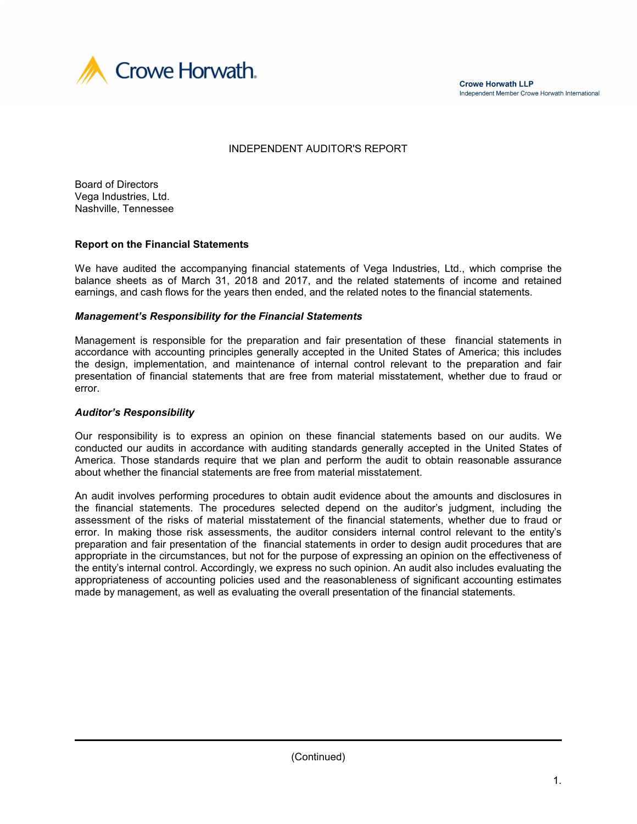

**Crowe Horwath LLP** Independent Member Crowe Horwath International

### INDEPENDENT AUDITOR'S REPORT

Board of Directors Vega Industries, Ltd. Nashville, Tennessee

#### **Report on the Financial Statements**

We have audited the accompanying financial statements of Vega Industries, Ltd., which comprise the balance sheets as of March 31, 2018 and 2017, and the related statements of income and retained earnings, and cash flows for the years then ended, and the related notes to the financial statements.

#### *Management's Responsibility for the Financial Statements*

Management is responsible for the preparation and fair presentation of these financial statements in accordance with accounting principles generally accepted in the United States of America; this includes the design, implementation, and maintenance of internal control relevant to the preparation and fair presentation of financial statements that are free from material misstatement, whether due to fraud or error.

#### *Auditor's Responsibility*

Our responsibility is to express an opinion on these financial statements based on our audits. We conducted our audits in accordance with auditing standards generally accepted in the United States of America. Those standards require that we plan and perform the audit to obtain reasonable assurance about whether the financial statements are free from material misstatement.

An audit involves performing procedures to obtain audit evidence about the amounts and disclosures in the financial statements. The procedures selected depend on the auditor's judgment, including the assessment of the risks of material misstatement of the financial statements, whether due to fraud or error. In making those risk assessments, the auditor considers internal control relevant to the entity's preparation and fair presentation of the financial statements in order to design audit procedures that are appropriate in the circumstances, but not for the purpose of expressing an opinion on the effectiveness of the entity's internal control. Accordingly, we express no such opinion. An audit also includes evaluating the appropriateness of accounting policies used and the reasonableness of significant accounting estimates made by management, as well as evaluating the overall presentation of the financial statements.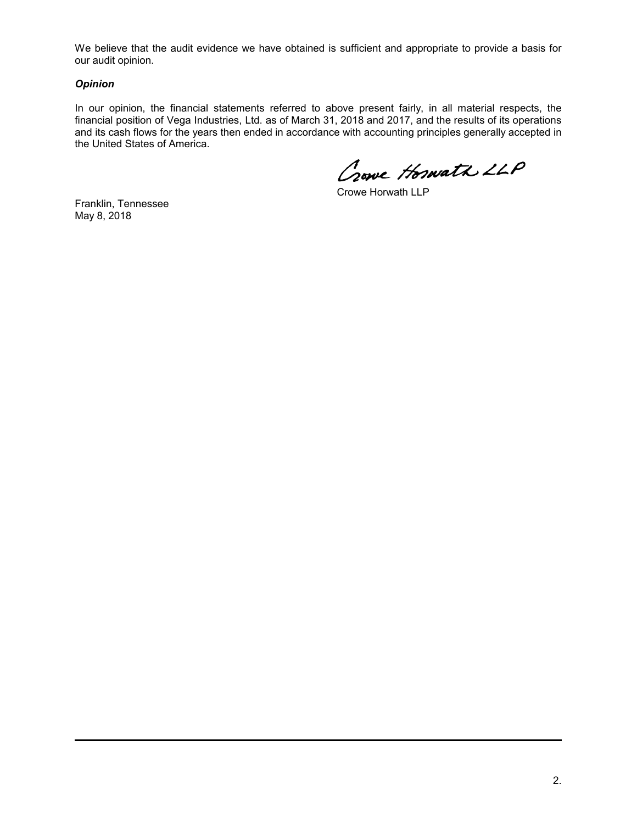We believe that the audit evidence we have obtained is sufficient and appropriate to provide a basis for our audit opinion.

#### *Opinion*

In our opinion, the financial statements referred to above present fairly, in all material respects, the financial position of Vega Industries, Ltd. as of March 31, 2018 and 2017, and the results of its operations and its cash flows for the years then ended in accordance with accounting principles generally accepted in the United States of America.

Crowe Hoswath LLP

Crowe Horwath LLP

Franklin, Tennessee May 8, 2018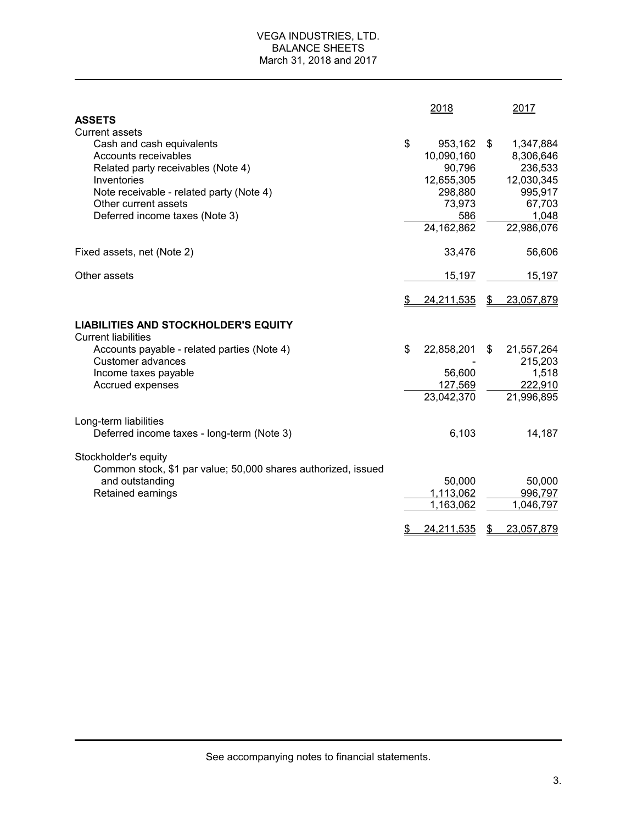### VEGA INDUSTRIES, LTD. BALANCE SHEETS March 31, 2018 and 2017

|                                                                  |    | 2018              | 2017              |
|------------------------------------------------------------------|----|-------------------|-------------------|
| <b>ASSETS</b>                                                    |    |                   |                   |
| <b>Current assets</b>                                            |    |                   |                   |
| Cash and cash equivalents                                        | \$ | 953,162           | \$<br>1,347,884   |
| Accounts receivables                                             |    | 10,090,160        | 8,306,646         |
| Related party receivables (Note 4)                               |    | 90,796            | 236,533           |
| Inventories                                                      |    | 12,655,305        | 12,030,345        |
| Note receivable - related party (Note 4)<br>Other current assets |    | 298,880<br>73,973 | 995,917<br>67,703 |
| Deferred income taxes (Note 3)                                   |    | 586               | 1.048             |
|                                                                  |    | 24,162,862        | 22,986,076        |
|                                                                  |    |                   |                   |
| Fixed assets, net (Note 2)                                       |    | 33,476            | 56,606            |
| Other assets                                                     |    | 15,197            | 15,197            |
|                                                                  |    |                   |                   |
|                                                                  | S. | 24,211,535        | \$<br>23,057,879  |
| <b>LIABILITIES AND STOCKHOLDER'S EQUITY</b>                      |    |                   |                   |
| <b>Current liabilities</b>                                       |    |                   |                   |
| Accounts payable - related parties (Note 4)                      | \$ | 22,858,201        | \$<br>21,557,264  |
| <b>Customer advances</b>                                         |    |                   | 215,203           |
| Income taxes payable                                             |    | 56,600            | 1,518             |
| Accrued expenses                                                 |    | 127,569           | 222,910           |
|                                                                  |    | 23,042,370        | 21,996,895        |
| Long-term liabilities                                            |    |                   |                   |
| Deferred income taxes - long-term (Note 3)                       |    | 6,103             | 14,187            |
| Stockholder's equity                                             |    |                   |                   |
| Common stock, \$1 par value; 50,000 shares authorized, issued    |    |                   |                   |
| and outstanding                                                  |    | 50,000            | 50,000            |
| Retained earnings                                                |    | 1,113,062         | 996,797           |
|                                                                  |    | 1,163,062         | 1,046,797         |
|                                                                  |    | 24,211,535        | \$<br>23,057,879  |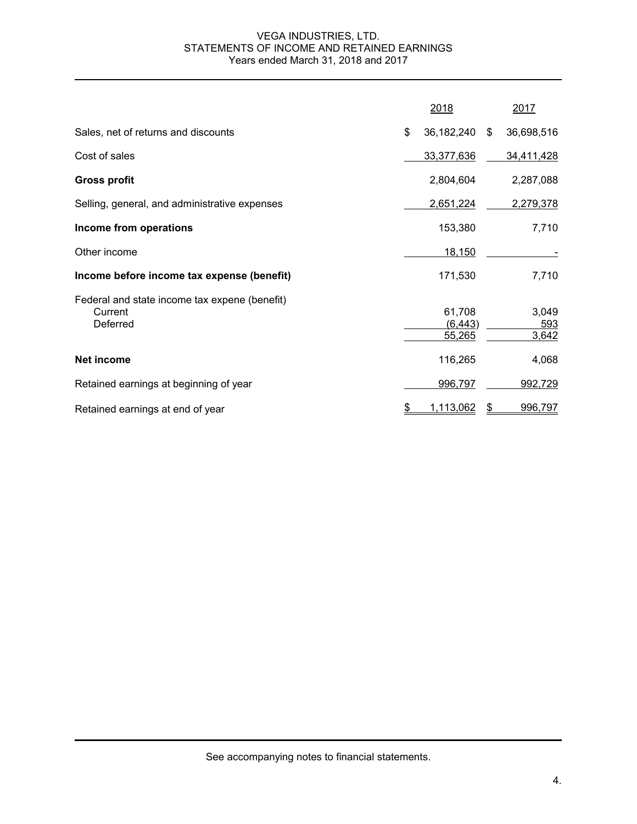### VEGA INDUSTRIES, LTD. STATEMENTS OF INCOME AND RETAINED EARNINGS Years ended March 31, 2018 and 2017

|                                                                      | 2018                         | 2017                  |
|----------------------------------------------------------------------|------------------------------|-----------------------|
| Sales, net of returns and discounts                                  | \$<br>36,182,240             | \$<br>36,698,516      |
| Cost of sales                                                        | 33,377,636                   | 34,411,428            |
| <b>Gross profit</b>                                                  | 2,804,604                    | 2,287,088             |
| Selling, general, and administrative expenses                        | 2,651,224                    | 2,279,378             |
| Income from operations                                               | 153,380                      | 7,710                 |
| Other income                                                         | <u>18,150</u>                |                       |
| Income before income tax expense (benefit)                           | 171,530                      | 7,710                 |
| Federal and state income tax expene (benefit)<br>Current<br>Deferred | 61,708<br>(6, 443)<br>55,265 | 3,049<br>593<br>3,642 |
| Net income                                                           | 116,265                      | 4,068                 |
| Retained earnings at beginning of year                               | 996,797                      | 992,729               |
| Retained earnings at end of year                                     | \$<br>1,113,062              | \$<br>996,797         |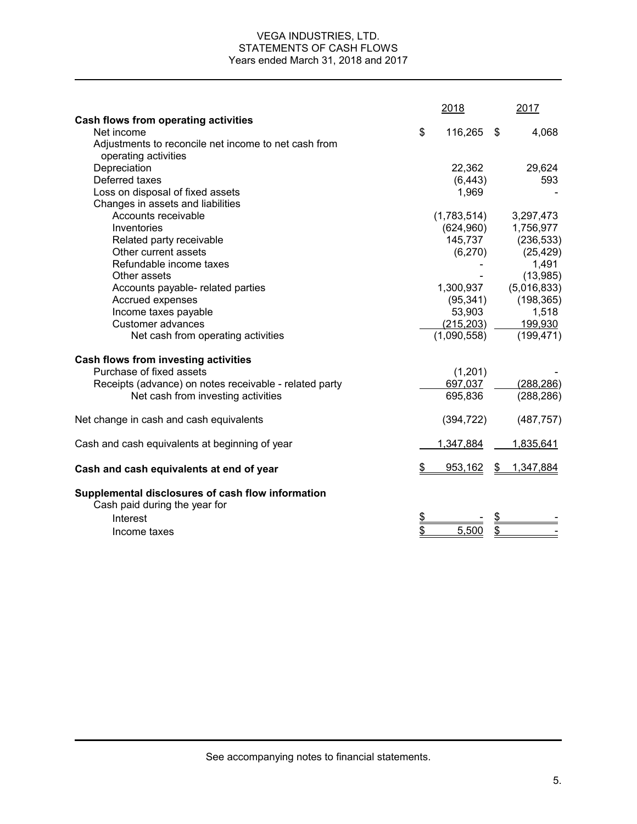#### VEGA INDUSTRIES, LTD. STATEMENTS OF CASH FLOWS Years ended March 31, 2018 and 2017

|                                                                                    | 2018          |    | 2017        |
|------------------------------------------------------------------------------------|---------------|----|-------------|
| Cash flows from operating activities                                               |               |    |             |
| Net income                                                                         | \$<br>116,265 | \$ | 4,068       |
| Adjustments to reconcile net income to net cash from<br>operating activities       |               |    |             |
| Depreciation                                                                       | 22,362        |    | 29,624      |
| Deferred taxes                                                                     | (6, 443)      |    | 593         |
| Loss on disposal of fixed assets                                                   | 1,969         |    |             |
| Changes in assets and liabilities                                                  |               |    |             |
| Accounts receivable                                                                | (1,783,514)   |    | 3,297,473   |
| Inventories                                                                        | (624, 960)    |    | 1,756,977   |
| Related party receivable                                                           | 145,737       |    | (236, 533)  |
| Other current assets                                                               | (6,270)       |    | (25, 429)   |
| Refundable income taxes                                                            |               |    | 1,491       |
| Other assets                                                                       |               |    | (13, 985)   |
| Accounts payable- related parties                                                  | 1,300,937     |    | (5,016,833) |
| Accrued expenses                                                                   | (95, 341)     |    | (198, 365)  |
| Income taxes payable                                                               | 53,903        |    | 1,518       |
| Customer advances                                                                  | (215, 203)    |    | 199,930     |
| Net cash from operating activities                                                 | (1,090,558)   |    | (199, 471)  |
| Cash flows from investing activities                                               |               |    |             |
| Purchase of fixed assets                                                           | (1,201)       |    |             |
| Receipts (advance) on notes receivable - related party                             | 697,037       |    | (288, 286)  |
| Net cash from investing activities                                                 | 695,836       |    | (288, 286)  |
| Net change in cash and cash equivalents                                            | (394, 722)    |    | (487, 757)  |
| Cash and cash equivalents at beginning of year                                     | 1,347,884     |    | 1,835,641   |
| Cash and cash equivalents at end of year                                           | \$<br>953,162 | S  | 1,347,884   |
| Supplemental disclosures of cash flow information<br>Cash paid during the year for |               |    |             |
| Interest                                                                           | \$            |    |             |
| Income taxes                                                                       | 5,500         |    |             |
|                                                                                    |               |    |             |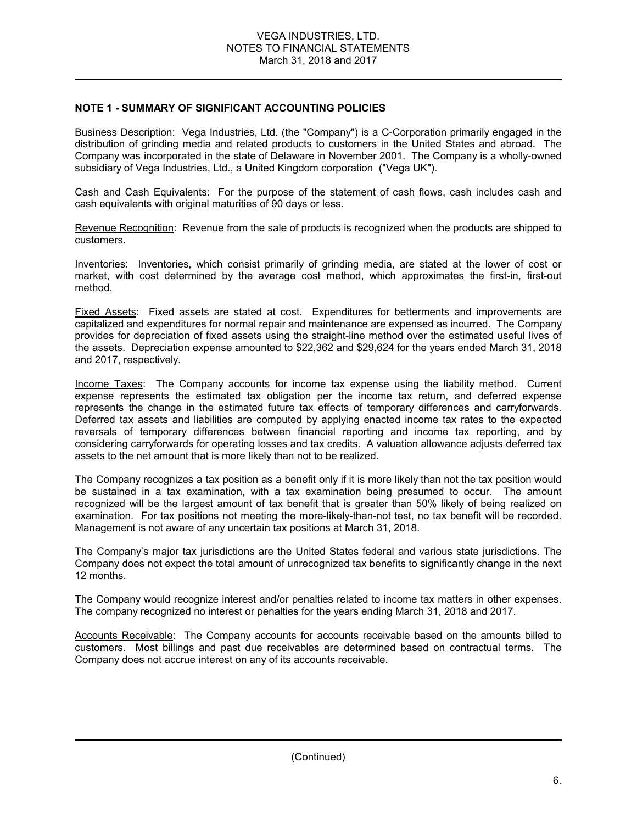### **NOTE 1 - SUMMARY OF SIGNIFICANT ACCOUNTING POLICIES**

Business Description: Vega Industries, Ltd. (the "Company") is a C-Corporation primarily engaged in the distribution of grinding media and related products to customers in the United States and abroad. The Company was incorporated in the state of Delaware in November 2001. The Company is a wholly-owned subsidiary of Vega Industries, Ltd., a United Kingdom corporation ("Vega UK").

Cash and Cash Equivalents: For the purpose of the statement of cash flows, cash includes cash and cash equivalents with original maturities of 90 days or less.

Revenue Recognition: Revenue from the sale of products is recognized when the products are shipped to customers.

Inventories: Inventories, which consist primarily of grinding media, are stated at the lower of cost or market, with cost determined by the average cost method, which approximates the first-in, first-out method.

Fixed Assets: Fixed assets are stated at cost. Expenditures for betterments and improvements are capitalized and expenditures for normal repair and maintenance are expensed as incurred. The Company provides for depreciation of fixed assets using the straight-line method over the estimated useful lives of the assets. Depreciation expense amounted to \$22,362 and \$29,624 for the years ended March 31, 2018 and 2017, respectively.

Income Taxes: The Company accounts for income tax expense using the liability method. Current expense represents the estimated tax obligation per the income tax return, and deferred expense represents the change in the estimated future tax effects of temporary differences and carryforwards. Deferred tax assets and liabilities are computed by applying enacted income tax rates to the expected reversals of temporary differences between financial reporting and income tax reporting, and by considering carryforwards for operating losses and tax credits. A valuation allowance adjusts deferred tax assets to the net amount that is more likely than not to be realized.

The Company recognizes a tax position as a benefit only if it is more likely than not the tax position would be sustained in a tax examination, with a tax examination being presumed to occur. The amount recognized will be the largest amount of tax benefit that is greater than 50% likely of being realized on examination. For tax positions not meeting the more-likely-than-not test, no tax benefit will be recorded. Management is not aware of any uncertain tax positions at March 31, 2018.

The Company's major tax jurisdictions are the United States federal and various state jurisdictions. The Company does not expect the total amount of unrecognized tax benefits to significantly change in the next 12 months.

The Company would recognize interest and/or penalties related to income tax matters in other expenses. The company recognized no interest or penalties for the years ending March 31, 2018 and 2017.

Accounts Receivable: The Company accounts for accounts receivable based on the amounts billed to customers. Most billings and past due receivables are determined based on contractual terms. The Company does not accrue interest on any of its accounts receivable.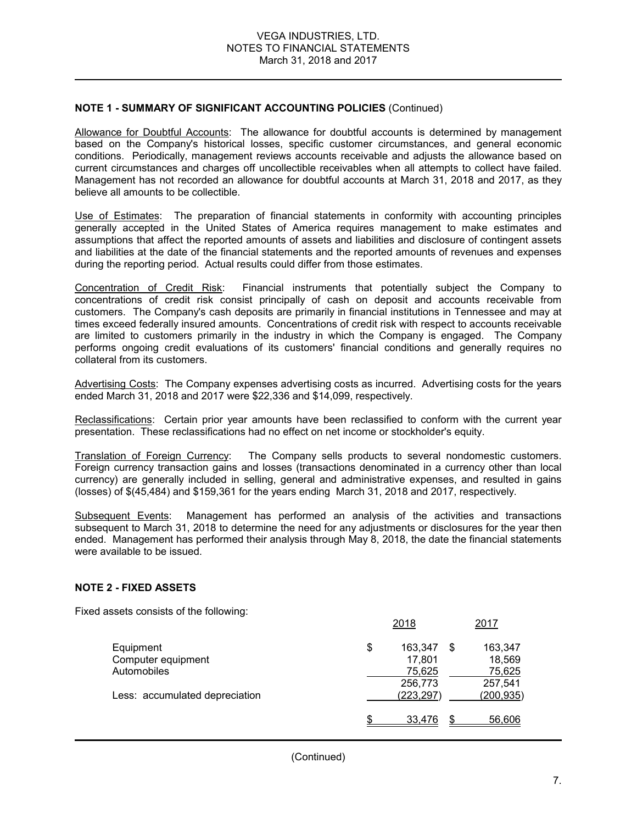### **NOTE 1 - SUMMARY OF SIGNIFICANT ACCOUNTING POLICIES** (Continued)

Allowance for Doubtful Accounts: The allowance for doubtful accounts is determined by management based on the Company's historical losses, specific customer circumstances, and general economic conditions. Periodically, management reviews accounts receivable and adjusts the allowance based on current circumstances and charges off uncollectible receivables when all attempts to collect have failed. Management has not recorded an allowance for doubtful accounts at March 31, 2018 and 2017, as they believe all amounts to be collectible.

Use of Estimates: The preparation of financial statements in conformity with accounting principles generally accepted in the United States of America requires management to make estimates and assumptions that affect the reported amounts of assets and liabilities and disclosure of contingent assets and liabilities at the date of the financial statements and the reported amounts of revenues and expenses during the reporting period. Actual results could differ from those estimates.

Concentration of Credit Risk: Financial instruments that potentially subject the Company to concentrations of credit risk consist principally of cash on deposit and accounts receivable from customers. The Company's cash deposits are primarily in financial institutions in Tennessee and may at times exceed federally insured amounts. Concentrations of credit risk with respect to accounts receivable are limited to customers primarily in the industry in which the Company is engaged. The Company performs ongoing credit evaluations of its customers' financial conditions and generally requires no collateral from its customers.

Advertising Costs: The Company expenses advertising costs as incurred. Advertising costs for the years ended March 31, 2018 and 2017 were \$22,336 and \$14,099, respectively.

Reclassifications: Certain prior year amounts have been reclassified to conform with the current year presentation. These reclassifications had no effect on net income or stockholder's equity.

Translation of Foreign Currency: The Company sells products to several nondomestic customers. Foreign currency transaction gains and losses (transactions denominated in a currency other than local currency) are generally included in selling, general and administrative expenses, and resulted in gains (losses) of \$(45,484) and \$159,361 for the years ending March 31, 2018 and 2017, respectively.

Subsequent Events: Management has performed an analysis of the activities and transactions subsequent to March 31, 2018 to determine the need for any adjustments or disclosures for the year then ended. Management has performed their analysis through May 8, 2018, the date the financial statements were available to be issued.

#### **NOTE 2 - FIXED ASSETS**

Fixed assets consists of the following:

|                                | 2018          |   | 2017       |
|--------------------------------|---------------|---|------------|
| Equipment                      | \$<br>163,347 | S | 163,347    |
| Computer equipment             | 17,801        |   | 18,569     |
| Automobiles                    | 75,625        |   | 75,625     |
|                                | 256,773       |   | 257,541    |
| Less: accumulated depreciation | (223, 297)    |   | (200, 935) |
|                                | 33,476        |   | 56,606     |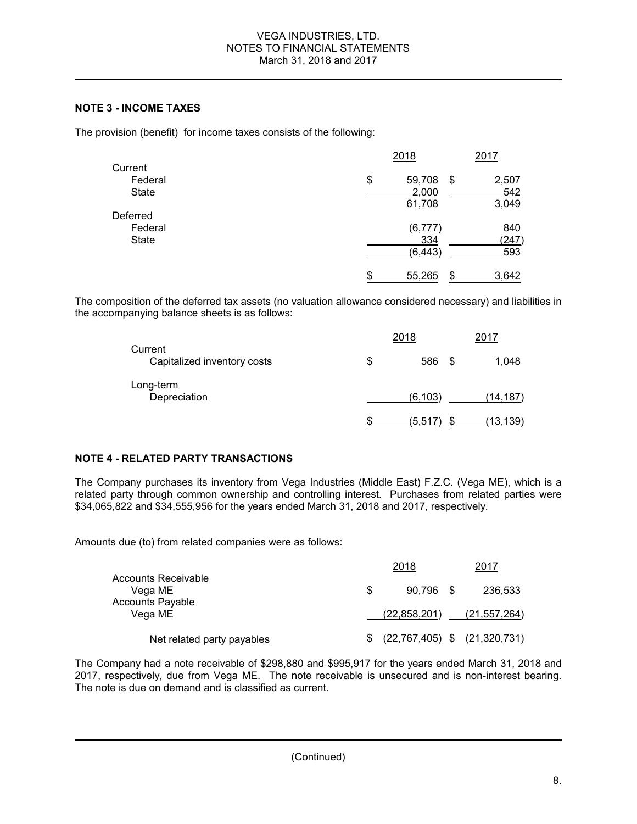## **NOTE 3 - INCOME TAXES**

The provision (benefit) for income taxes consists of the following:

|              | 2018         | 2017        |
|--------------|--------------|-------------|
| Current      |              |             |
| Federal      | \$<br>59,708 | 2,507<br>\$ |
| <b>State</b> | 2,000        | 542         |
|              | 61,708       | 3,049       |
| Deferred     |              |             |
| Federal      | (6, 777)     | 840         |
| <b>State</b> | 334          | (247)       |
|              | (6, 443)     | 593         |
|              | \$<br>55,265 | 3,642<br>\$ |

The composition of the deferred tax assets (no valuation allowance considered necessary) and liabilities in the accompanying balance sheets is as follows:

|                                        | 2018           | 2017            |
|----------------------------------------|----------------|-----------------|
| Current<br>Capitalized inventory costs | \$<br>586<br>S | 1,048           |
| Long-term                              |                |                 |
| Depreciation                           | (6, 103)       | (14,187)        |
|                                        | (5,517)        | <u>(13,139)</u> |

### **NOTE 4 - RELATED PARTY TRANSACTIONS**

The Company purchases its inventory from Vega Industries (Middle East) F.Z.C. (Vega ME), which is a related party through common ownership and controlling interest. Purchases from related parties were \$34,065,822 and \$34,555,956 for the years ended March 31, 2018 and 2017, respectively.

Amounts due (to) from related companies were as follows:

|                                |  | 2018           | 2017                          |
|--------------------------------|--|----------------|-------------------------------|
| Accounts Receivable<br>Vega ME |  | 90.796 \$      | 236,533                       |
| Accounts Payable<br>Vega ME    |  |                | $(22,858,201)$ $(21,557,264)$ |
| Net related party payables     |  | (22, 767, 405) | \$ (21,320,731)               |

The Company had a note receivable of \$298,880 and \$995,917 for the years ended March 31, 2018 and 2017, respectively, due from Vega ME. The note receivable is unsecured and is non-interest bearing. The note is due on demand and is classified as current.